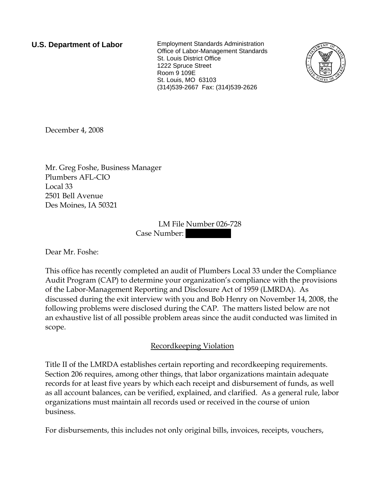**U.S. Department of Labor** Employment Standards Administration Office of Labor-Management Standards St. Louis District Office 1222 Spruce Street Room 9 109E St. Louis, MO 63103 (314)539-2667 Fax: (314)539-2626



December 4, 2008

Mr. Greg Foshe, Business Manager Plumbers AFL-CIO Local 33 2501 Bell Avenue Des Moines, IA 50321

> LM File Number 026-728 Case Number:

Dear Mr. Foshe:

This office has recently completed an audit of Plumbers Local 33 under the Compliance Audit Program (CAP) to determine your organization's compliance with the provisions of the Labor-Management Reporting and Disclosure Act of 1959 (LMRDA). As discussed during the exit interview with you and Bob Henry on November 14, 2008, the following problems were disclosed during the CAP. The matters listed below are not an exhaustive list of all possible problem areas since the audit conducted was limited in scope.

## Recordkeeping Violation

Title II of the LMRDA establishes certain reporting and recordkeeping requirements. Section 206 requires, among other things, that labor organizations maintain adequate records for at least five years by which each receipt and disbursement of funds, as well as all account balances, can be verified, explained, and clarified. As a general rule, labor organizations must maintain all records used or received in the course of union business.

For disbursements, this includes not only original bills, invoices, receipts, vouchers,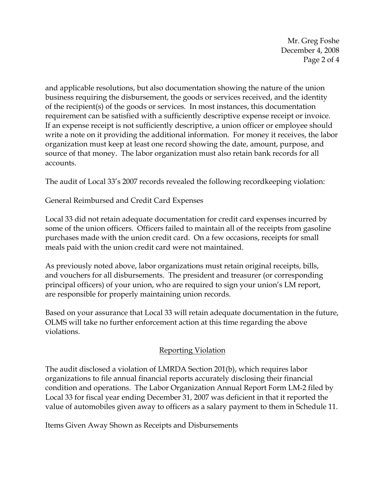Mr. Greg Foshe December 4, 2008 Page 2 of 4

and applicable resolutions, but also documentation showing the nature of the union business requiring the disbursement, the goods or services received, and the identity of the recipient(s) of the goods or services. In most instances, this documentation requirement can be satisfied with a sufficiently descriptive expense receipt or invoice. If an expense receipt is not sufficiently descriptive, a union officer or employee should write a note on it providing the additional information. For money it receives, the labor organization must keep at least one record showing the date, amount, purpose, and source of that money. The labor organization must also retain bank records for all accounts.

The audit of Local 33's 2007 records revealed the following recordkeeping violation:

General Reimbursed and Credit Card Expenses

Local 33 did not retain adequate documentation for credit card expenses incurred by some of the union officers. Officers failed to maintain all of the receipts from gasoline purchases made with the union credit card. On a few occasions, receipts for small meals paid with the union credit card were not maintained.

As previously noted above, labor organizations must retain original receipts, bills, and vouchers for all disbursements. The president and treasurer (or corresponding principal officers) of your union, who are required to sign your union's LM report, are responsible for properly maintaining union records.

Based on your assurance that Local 33 will retain adequate documentation in the future, OLMS will take no further enforcement action at this time regarding the above violations.

## Reporting Violation

The audit disclosed a violation of LMRDA Section 201(b), which requires labor organizations to file annual financial reports accurately disclosing their financial condition and operations. The Labor Organization Annual Report Form LM-2 filed by Local 33 for fiscal year ending December 31, 2007 was deficient in that it reported the value of automobiles given away to officers as a salary payment to them in Schedule 11.

Items Given Away Shown as Receipts and Disbursements